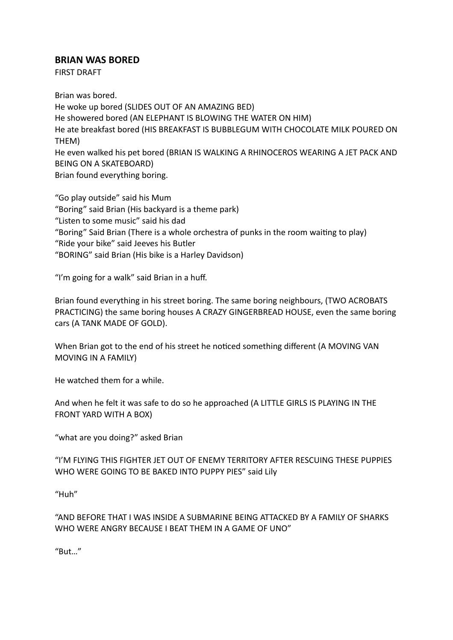## **BRIAN WAS BORED**

FIRST DRAFT

Brian was bored. He woke up bored (SLIDES OUT OF AN AMAZING BED) He showered bored (AN ELEPHANT IS BLOWING THE WATER ON HIM) He ate breakfast bored (HIS BREAKFAST IS BUBBLEGUM WITH CHOCOLATE MILK POURED ON THEM) He even walked his pet bored (BRIAN IS WALKING A RHINOCEROS WEARING A JET PACK AND BEING ON A SKATEBOARD) Brian found everything boring.

"Go play outside" said his Mum "Boring" said Brian (His backyard is a theme park) "Listen to some music" said his dad "Boring" Said Brian (There is a whole orchestra of punks in the room waiting to play) "Ride your bike" said Jeeves his Butler "BORING" said Brian (His bike is a Harley Davidson)

"I'm going for a walk" said Brian in a huff.

Brian found everything in his street boring. The same boring neighbours, (TWO ACROBATS PRACTICING) the same boring houses A CRAZY GINGERBREAD HOUSE, even the same boring cars (A TANK MADE OF GOLD).

When Brian got to the end of his street he noticed something different (A MOVING VAN MOVING IN A FAMILY)

He watched them for a while.

And when he felt it was safe to do so he approached (A LITTLE GIRLS IS PLAYING IN THE FRONT YARD WITH A BOX)

"what are you doing?" asked Brian

"I'M FLYING THIS FIGHTER JET OUT OF ENEMY TERRITORY AFTER RESCUING THESE PUPPIES WHO WERE GOING TO BE BAKED INTO PUPPY PIES" said Lily

"Huh"

"AND BEFORE THAT I WAS INSIDE A SUBMARINE BEING ATTACKED BY A FAMILY OF SHARKS WHO WERE ANGRY BECAUSE I BEAT THEM IN A GAME OF UNO"

"But…"